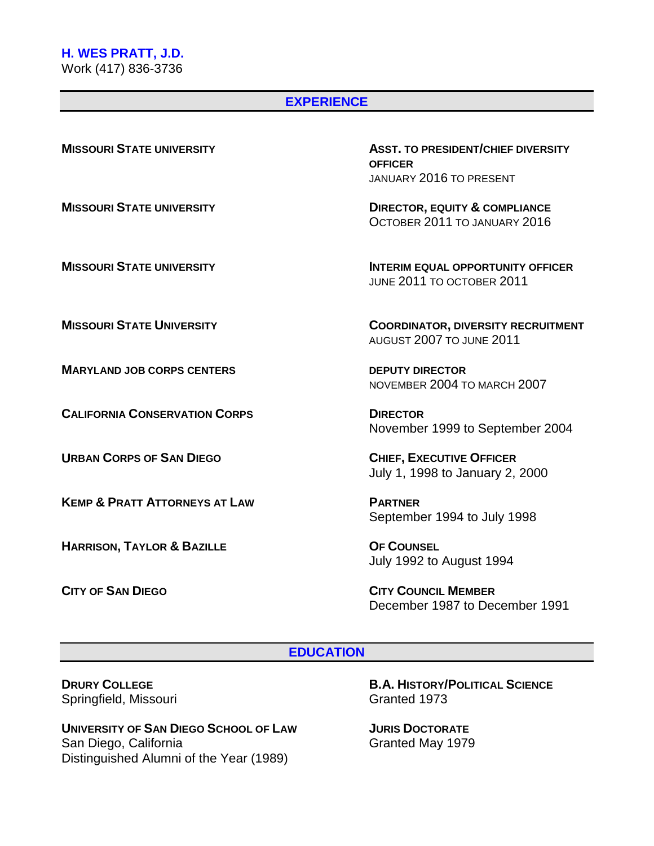# **H. WES PRATT, J.D.**

Work (417) 836-3736

#### **EXPERIENCE**

**MISSOURI STATE UNIVERSITY ASST. TO PRESIDENT/CHIEF DIVERSITY OFFICER** JANUARY 2016 TO PRESENT

**MISSOURI STATE UNIVERSITY DIRECTOR, EQUITY & COMPLIANCE** OCTOBER 2011 TO JANUARY 2016

**MISSOURI STATE UNIVERSITY INTERIM EQUAL OPPORTUNITY OFFICER** JUNE 2011 TO OCTOBER 2011

**MISSOURI STATE UNIVERSITY COORDINATOR, DIVERSITY RECRUITMENT** AUGUST 2007 TO JUNE 2011

**MARYLAND JOB CORPS CENTERS DEPUTY DIRECTOR** NOVEMBER 2004 TO MARCH 2007

**CALIFORNIA CONSERVATION CORPS DIRECTOR** November 1999 to September 2004

**URBAN CORPS OF SAN DIEGO CHIEF, EXECUTIVE OFFICER** July 1, 1998 to January 2, 2000

**KEMP & PRATT ATTORNEYS AT LAW PARTNER** September 1994 to July 1998

**HARRISON, TAYLOR & BAZILLE OF COUNSEL** July 1992 to August 1994

**CITY OF SAN DIEGO CITY COUNCIL MEMBER** December 1987 to December 1991

#### **EDUCATION**

Springfield, Missouri

**UNIVERSITY OF SAN DIEGO SCHOOL OF LAW JURIS DOCTORATE** San Diego, California Granted May 1979 Distinguished Alumni of the Year (1989)

**DRURY COLLEGE B.A. HISTORY/POLITICAL SCIENCE**